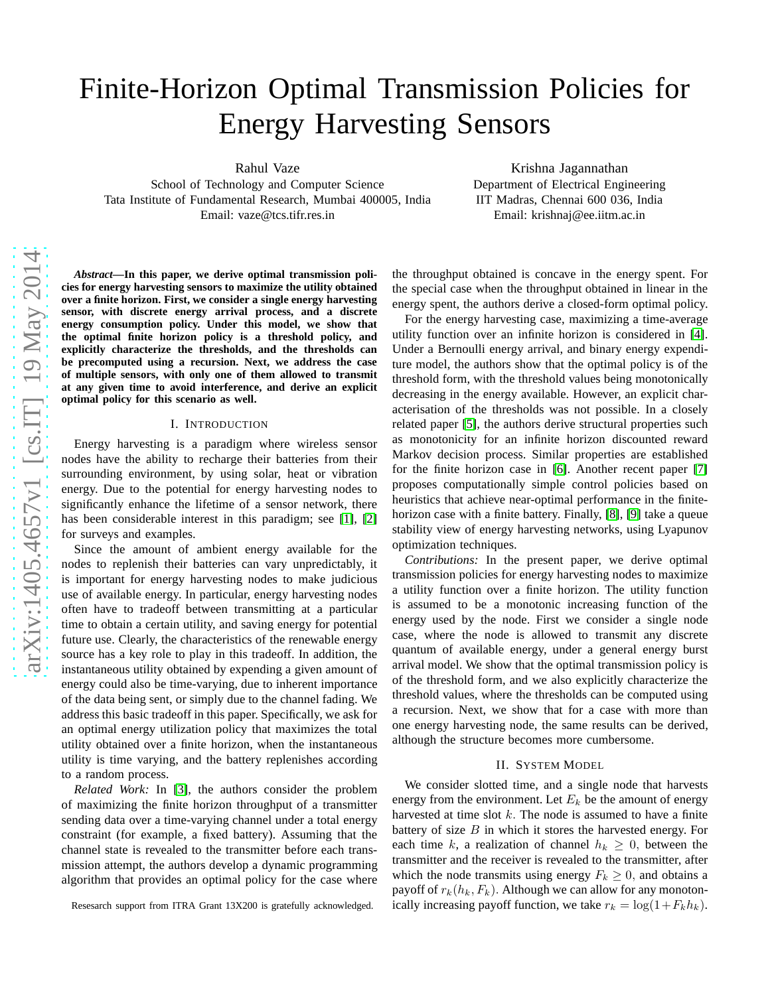# Finite-Horizon Optimal Transmission Policies for Energy Harvesting Sensors

Rahul Vaze

School of Technology and Computer Science Tata Institute of Fundamental Research, Mumbai 400005, India Email: vaze@tcs.tifr.res.in

Krishna Jagannathan Department of Electrical Engineering IIT Madras, Chennai 600 036, India Email: krishnaj@ee.iitm.ac.in

*Abstract***—In this paper, we derive optimal transmission policies for energy harvesting sensors to maximize the utility obtained over a finite horizon. First, we consider a single energy harvesting sensor, with discrete energy arrival process, and a discrete energy consumption policy. Under this model, we show that the optimal finite horizon policy is a threshold policy, and explicitly characterize the thresholds, and the thresholds can be precomputed using a recursion. Next, we address the case of multiple sensors, with only one of them allowed to transmit at any given time to avoid interference, and derive an explicit optimal policy for this scenario as well.**

#### I. INTRODUCTION

Energy harvesting is a paradigm where wireless sensor nodes have the ability to recharge their batteries from their surrounding environment, by using solar, heat or vibration energy. Due to the potential for energy harvesting nodes to significantly enhance the lifetime of a sensor network, there has been considerable interest in this paradigm; see [\[1\]](#page-4-0), [\[2\]](#page-4-1) for surveys and examples.

Since the amount of ambient energy available for the nodes to replenish their batteries can vary unpredictably, it is important for energy harvesting nodes to make judicious use of available energy. In particular, energy harvesting nodes often have to tradeoff between transmitting at a particular time to obtain a certain utility, and saving energy for potential future use. Clearly, the characteristics of the renewable energy source has a key role to play in this tradeoff. In addition, the instantaneous utility obtained by expending a given amount of energy could also be time-varying, due to inherent importance of the data being sent, or simply due to the channel fading. We address this basic tradeoff in this paper. Specifically, we ask for an optimal energy utilization policy that maximizes the total utility obtained over a finite horizon, when the instantaneous utility is time varying, and the battery replenishes according to a random process.

*Related Work:* In [\[3\]](#page-4-2), the authors consider the problem of maximizing the finite horizon throughput of a transmitter sending data over a time-varying channel under a total energy constraint (for example, a fixed battery). Assuming that the channel state is revealed to the transmitter before each transmission attempt, the authors develop a dynamic programming algorithm that provides an optimal policy for the case where

Resesarch support from ITRA Grant 13X200 is gratefully acknowledged.

the throughput obtained is concave in the energy spent. For the special case when the throughput obtained in linear in the energy spent, the authors derive a closed-form optimal policy.

For the energy harvesting case, maximizing a time-average utility function over an infinite horizon is considered in [\[4\]](#page-4-3). Under a Bernoulli energy arrival, and binary energy expenditure model, the authors show that the optimal policy is of the threshold form, with the threshold values being monotonically decreasing in the energy available. However, an explicit characterisation of the thresholds was not possible. In a closely related paper [\[5\]](#page-4-4), the authors derive structural properties such as monotonicity for an infinite horizon discounted reward Markov decision process. Similar properties are established for the finite horizon case in [\[6\]](#page-4-5). Another recent paper [\[7\]](#page-4-6) proposes computationally simple control policies based on heuristics that achieve near-optimal performance in the finitehorizon case with a finite battery. Finally, [\[8\]](#page-4-7), [\[9\]](#page-4-8) take a queue stability view of energy harvesting networks, using Lyapunov optimization techniques.

*Contributions:* In the present paper, we derive optimal transmission policies for energy harvesting nodes to maximize a utility function over a finite horizon. The utility function is assumed to be a monotonic increasing function of the energy used by the node. First we consider a single node case, where the node is allowed to transmit any discrete quantum of available energy, under a general energy burst arrival model. We show that the optimal transmission policy is of the threshold form, and we also explicitly characterize the threshold values, where the thresholds can be computed using a recursion. Next, we show that for a case with more than one energy harvesting node, the same results can be derived, although the structure becomes more cumbersome.

## II. SYSTEM MODEL

We consider slotted time, and a single node that harvests energy from the environment. Let  $E_k$  be the amount of energy harvested at time slot  $k$ . The node is assumed to have a finite battery of size  $B$  in which it stores the harvested energy. For each time k, a realization of channel  $h_k \geq 0$ , between the transmitter and the receiver is revealed to the transmitter, after which the node transmits using energy  $F_k \geq 0$ , and obtains a payoff of  $r_k(h_k, F_k)$ . Although we can allow for any monotonically increasing payoff function, we take  $r_k = \log(1 + F_k h_k)$ .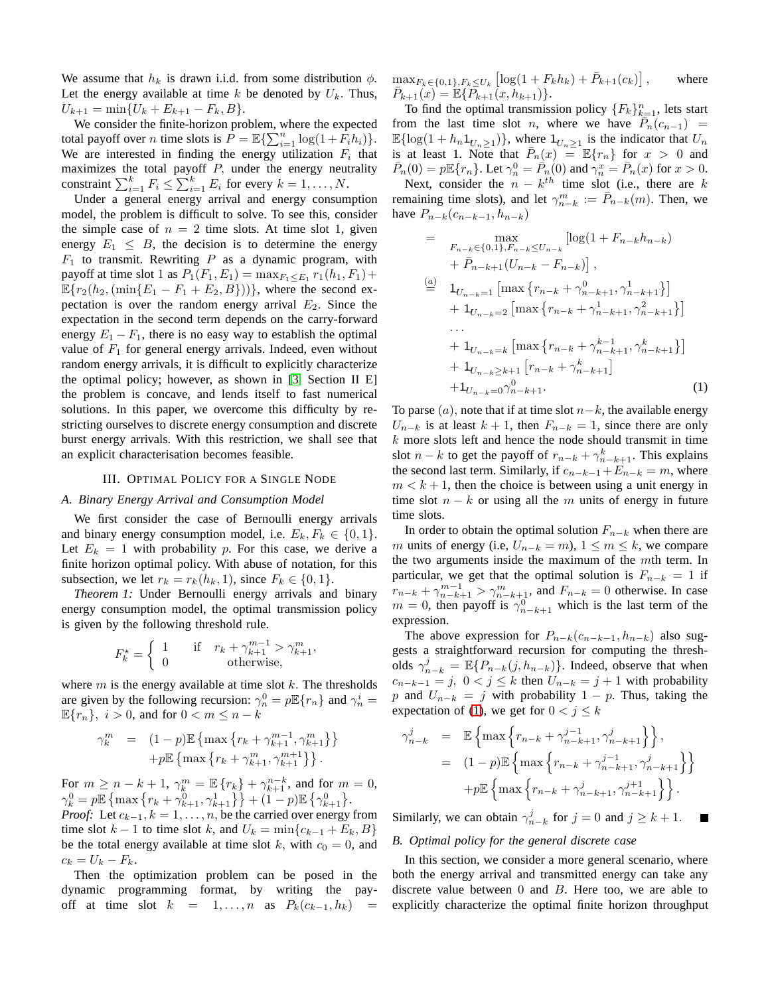We assume that  $h_k$  is drawn i.i.d. from some distribution  $\phi$ . Let the energy available at time  $k$  be denoted by  $U_k$ . Thus,  $U_{k+1} = \min\{U_k + E_{k+1} - F_k, B\}.$ 

We consider the finite-horizon problem, where the expected total payoff over *n* time slots is  $P = \mathbb{E}\left\{\sum_{i=1}^{n} \log(1 + \hat{F_i}h_i)\right\}.$ We are interested in finding the energy utilization  $F_i$  that maximizes the total payoff  $P$ , under the energy neutrality constraint  $\sum_{i=1}^{k} F_i \leq \sum_{i=1}^{k} E_i$  for every  $k = 1, \ldots, N$ .

Under a general energy arrival and energy consumption model, the problem is difficult to solve. To see this, consider the simple case of  $n = 2$  time slots. At time slot 1, given energy  $E_1 \leq B$ , the decision is to determine the energy  $F_1$  to transmit. Rewriting P as a dynamic program, with payoff at time slot 1 as  $P_1(F_1, E_1) = \max_{F_1 \le E_1} r_1(h_1, F_1) +$  $\mathbb{E}\{r_2(h_2,(\min\{E_1 - F_1 + E_2, B\}))\}$ , where the second expectation is over the random energy arrival  $E_2$ . Since the expectation in the second term depends on the carry-forward energy  $E_1 - F_1$ , there is no easy way to establish the optimal value of  $F_1$  for general energy arrivals. Indeed, even without random energy arrivals, it is difficult to explicitly characterize the optimal policy; however, as shown in [\[3,](#page-4-2) Section II E] the problem is concave, and lends itself to fast numerical solutions. In this paper, we overcome this difficulty by restricting ourselves to discrete energy consumption and discrete burst energy arrivals. With this restriction, we shall see that an explicit characterisation becomes feasible.

#### III. OPTIMAL POLICY FOR A SINGLE NODE

### <span id="page-1-1"></span>*A. Binary Energy Arrival and Consumption Model*

We first consider the case of Bernoulli energy arrivals and binary energy consumption model, i.e.  $E_k$ ,  $F_k \in \{0, 1\}$ . Let  $E_k = 1$  with probability p. For this case, we derive a finite horizon optimal policy. With abuse of notation, for this subsection, we let  $r_k = r_k(h_k, 1)$ , since  $F_k \in \{0, 1\}$ .

*Theorem 1:* Under Bernoulli energy arrivals and binary energy consumption model, the optimal transmission policy is given by the following threshold rule.

$$
F_k^* = \begin{cases} 1 & \text{if } r_k + \gamma_{k+1}^{m-1} > \gamma_{k+1}^m, \\ 0 & \text{otherwise,} \end{cases}
$$

where  $m$  is the energy available at time slot  $k$ . The thresholds are given by the following recursion:  $\gamma_n^0 = p \mathbb{E} \{r_n\}$  and  $\gamma_n^i =$  $\mathbb{E}\{r_n\}, i > 0$ , and for  $0 < m \leq n - k$ 

$$
\begin{array}{ll} \gamma_k^m & = & (1-p) \mathbb{E} \left\{ \max \left\{ r_k + \gamma_{k+1}^{m-1}, \gamma_{k+1}^m \right\} \right\} \\ & + p \mathbb{E} \left\{ \max \left\{ r_k + \gamma_{k+1}^m, \gamma_{k+1}^{m+1} \right\} \right\} . \end{array}
$$

For  $m \ge n - k + 1$ ,  $\gamma_k^m = \mathbb{E} \{ r_k \} + \gamma_{k+1}^{n-k}$ , and for  $m = 0$ ,  $\gamma_k^0 = p \mathbb{E} \left\{ \max \left\{ r_k + \gamma_{k+1}^0, \gamma_{k+1}^1 \right\} \right\} + (\mathbf{1} - p) \mathbb{E} \left\{ \gamma_{k+1}^0 \right\}.$ 

*Proof:* Let  $c_{k-1}$ ,  $k = 1, \ldots, n$ , be the carried over energy from time slot  $k - 1$  to time slot k, and  $U_k = \min\{c_{k-1} + E_k, B\}$ be the total energy available at time slot k, with  $c_0 = 0$ , and  $c_k = U_k - F_k.$ 

Then the optimization problem can be posed in the dynamic programming format, by writing the payoff at time slot  $k = 1, \ldots, n$  as  $P_k(c_{k-1}, h_k)$  =

 $\max_{F_k \in \{0,1\}, F_k \leq U_k} \left[ \log(1 + F_k h_k) + \bar{P}_{k+1}(c_k) \right]$ where  $\overline{P}_{k+1}(x) = \mathbb{E} \{ \overline{P}_{k+1}(x, h_{k+1}) \}.$ 

To find the optimal transmission policy  ${F_k}_{k=1}^n$ , lets start from the last time slot *n*, where we have  $\overline{P}_n(c_{n-1})$  =  $\mathbb{E}\{\log(1+h_n\mathbb{1}_{U_n\geq 1})\}\,$ , where  $\mathbb{1}_{U_n\geq 1}$  is the indicator that  $U_n$ is at least 1. Note that  $\bar{P}_n(x) = \mathbb{E}\{r_n\}$  for  $x > 0$  and  $\bar{P}_n(0) = p \mathbb{E}\{r_n\}$ . Let  $\gamma_n^0 = \bar{P}_n(0)$  and  $\gamma_n^x = \bar{P}_n(x)$  for  $x > 0$ . Next, consider the  $n - k^{th}$  time slot (i.e., there are k remaining time slots), and let  $\gamma_{n-k}^m := \overline{P}_{n-k}(m)$ . Then, we have  $P_{n-k}(c_{n-k-1}, h_{n-k})$ 

<span id="page-1-0"></span>
$$
= \max_{F_{n-k} \in \{0,1\}, F_{n-k} \le U_{n-k}} [\log(1 + F_{n-k}h_{n-k}) + \bar{P}_{n-k+1}(U_{n-k} - F_{n-k})],
$$
  
\n
$$
\stackrel{(a)}{=} \frac{1}{\prod_{U_{n-k}=1}} [\max \{r_{n-k} + \gamma_{n-k+1}^0, \gamma_{n-k+1}^1\}] + \frac{1}{\prod_{U_{n-k}=2}} [\max \{r_{n-k} + \gamma_{n-k+1}^1, \gamma_{n-k+1}^2\}] + \frac{1}{\prod_{U_{n-k}=k}} [\max \{r_{n-k} + \gamma_{n-k+1}^{k-1}, \gamma_{n-k+1}^k\}] + \frac{1}{\prod_{U_{n-k} \ge k+1}} [r_{n-k} + \gamma_{n-k+1}^k] + \frac{1}{\prod_{U_{n-k}=0} \gamma_{n-k+1}^0}.
$$
\n(1)

To parse  $(a)$ , note that if at time slot  $n-k$ , the available energy  $U_{n-k}$  is at least  $k + 1$ , then  $F_{n-k} = 1$ , since there are only  $k$  more slots left and hence the node should transmit in time slot  $n - k$  to get the payoff of  $r_{n-k} + \gamma_{n-k+1}^k$ . This explains the second last term. Similarly, if  $c_{n-k-1}+E_{n-k} = m$ , where  $m < k + 1$ , then the choice is between using a unit energy in time slot  $n - k$  or using all the m units of energy in future time slots.

In order to obtain the optimal solution  $F_{n-k}$  when there are m units of energy (i.e,  $U_{n-k} = m$ ),  $1 \le m \le k$ , we compare the two arguments inside the maximum of the mth term. In particular, we get that the optimal solution is  $F_{n-k} = 1$  if  $r_{n-k} + \gamma_{n-k+1}^{m-1} > \gamma_{n-k+1}^m$ , and  $F_{n-k} = 0$  otherwise. In case  $m = 0$ , then payoff is  $\gamma_{n-k+1}^0$  which is the last term of the expression.

The above expression for  $P_{n-k}(c_{n-k-1}, h_{n-k})$  also suggests a straightforward recursion for computing the thresholds  $\gamma_{n-k}^j = \mathbb{E}\{P_{n-k}(j,h_{n-k})\}\.$  Indeed, observe that when  $c_{n-k-1} = j$ ,  $0 < j \le k$  then  $U_{n-k} = j+1$  with probability p and  $U_{n-k} = j$  with probability  $1 - p$ . Thus, taking the expectation of [\(1\)](#page-1-0), we get for  $0 < j \leq k$ 

$$
\gamma_{n-k}^j = \mathbb{E} \left\{ \max \left\{ r_{n-k} + \gamma_{n-k+1}^{j-1}, \gamma_{n-k+1}^j \right\} \right\},
$$
  

$$
= (1-p) \mathbb{E} \left\{ \max \left\{ r_{n-k} + \gamma_{n-k+1}^{j-1}, \gamma_{n-k+1}^j \right\} \right\}
$$
  

$$
+ p \mathbb{E} \left\{ \max \left\{ r_{n-k} + \gamma_{n-k+1}^j, \gamma_{n-k+1}^{j+1} \right\} \right\}.
$$

Similarly, we can obtain  $\gamma_{n-k}^j$  for  $j = 0$  and  $j \ge k + 1$ .

# *B. Optimal policy for the general discrete case*

In this section, we consider a more general scenario, where both the energy arrival and transmitted energy can take any discrete value between  $0$  and  $B$ . Here too, we are able to explicitly characterize the optimal finite horizon throughput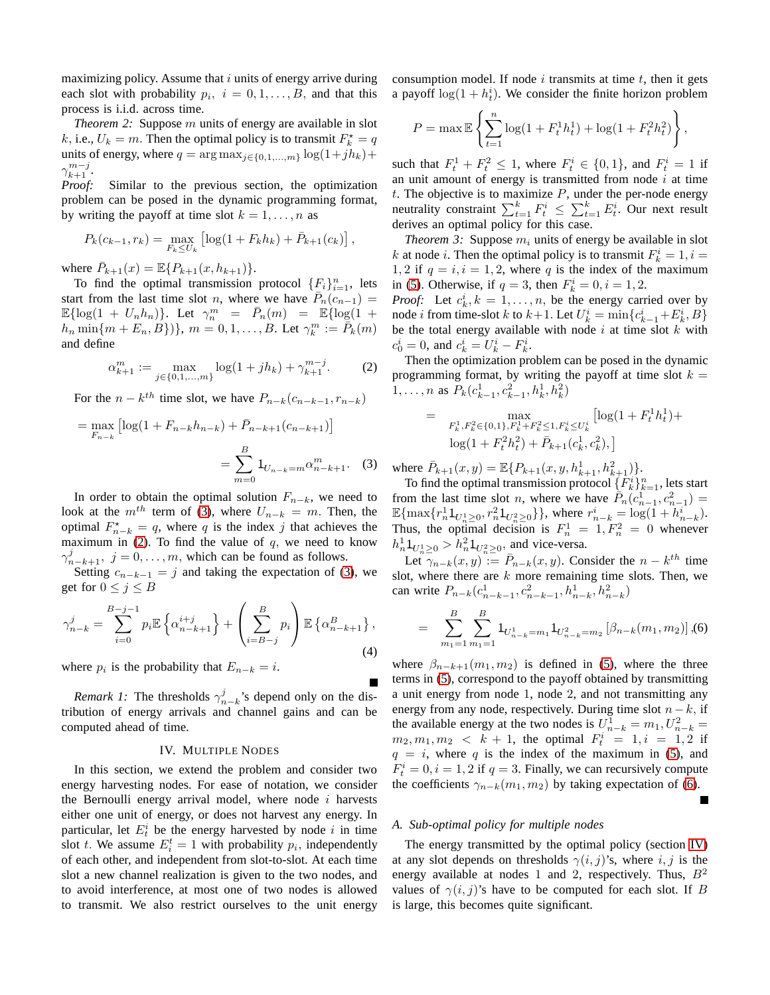maximizing policy. Assume that  $i$  units of energy arrive during each slot with probability  $p_i$ ,  $i = 0, 1, \ldots, B$ , and that this process is i.i.d. across time.

*Theorem 2:* Suppose m units of energy are available in slot k, i.e.,  $U_k = m$ . Then the optimal policy is to transmit  $F_k^* = q$ units of energy, where  $q = \arg \max_{j \in \{0,1,\ldots,m\}} \log(1+jh_k) +$  $\gamma_{k+1}^{m-j}$ .

*Proof:* Similar to the previous section, the optimization problem can be posed in the dynamic programming format, by writing the payoff at time slot  $k = 1, \ldots, n$  as

$$
P_k(c_{k-1}, r_k) = \max_{F_k \le U_k} \left[ \log(1 + F_k h_k) + \bar{P}_{k+1}(c_k) \right],
$$

where  $\bar{P}_{k+1}(x) = \mathbb{E}\{P_{k+1}(x, h_{k+1})\}.$ 

To find the optimal transmission protocol  $\{F_i\}_{i=1}^n$ , lets start from the last time slot *n*, where we have  $\overline{P}_n(c_{n-1}) =$  $\mathbb{E}\{\log(1 + U_n h_n)\}\$ . Let  $\gamma_n^m = \bar{P}_n(m) = \mathbb{E}\{\log(1 +$  $h_n \min\{m + E_n, B\}\}, m = 0, 1, ..., B$ . Let  $\gamma_k^m := \bar{P}_k(m)$ and define

<span id="page-2-1"></span>
$$
\alpha_{k+1}^m := \max_{j \in \{0, 1, \dots, m\}} \log(1 + j h_k) + \gamma_{k+1}^{m-j}.
$$
 (2)

For the  $n - k^{th}$  time slot, we have  $P_{n-k}(c_{n-k-1}, r_{n-k})$ 

$$
= \max_{F_{n-k}} \left[ \log(1 + F_{n-k} h_{n-k}) + \bar{P}_{n-k+1}(c_{n-k+1}) \right]
$$

$$
= \sum_{m=0}^{B} 1_{U_{n-k}=m} \alpha_{n-k+1}^m. \tag{3}
$$

In order to obtain the optimal solution  $F_{n-k}$ , we need to look at the  $m^{th}$  term of [\(3\)](#page-2-0), where  $U_{n-k} = m$ . Then, the optimal  $F_{n-k}^* = q$ , where q is the index j that achieves the maximum in [\(2\)](#page-2-1). To find the value of  $q$ , we need to know  $\gamma_{n-k+1}^j$ ,  $j = 0, \ldots, m$ , which can be found as follows.

Setting  $c_{n-k-1} = j$  and taking the expectation of [\(3\)](#page-2-0), we get for  $0 \le j \le B$ 

$$
\gamma_{n-k}^{j} = \sum_{i=0}^{B-j-1} p_i \mathbb{E} \left\{ \alpha_{n-k+1}^{i+j} \right\} + \left( \sum_{i=B-j}^{B} p_i \right) \mathbb{E} \left\{ \alpha_{n-k+1}^{B} \right\},\tag{4}
$$

where  $p_i$  is the probability that  $E_{n-k} = i$ .

*Remark 1:* The thresholds  $\gamma_{n-k}^j$ 's depend only on the distribution of energy arrivals and channel gains and can be computed ahead of time.

#### IV. MULTIPLE NODES

<span id="page-2-3"></span>In this section, we extend the problem and consider two energy harvesting nodes. For ease of notation, we consider the Bernoulli energy arrival model, where node  $i$  harvests either one unit of energy, or does not harvest any energy. In particular, let  $E_t^i$  be the energy harvested by node i in time slot t. We assume  $E_i^t = 1$  with probability  $p_i$ , independently of each other, and independent from slot-to-slot. At each time slot a new channel realization is given to the two nodes, and to avoid interference, at most one of two nodes is allowed to transmit. We also restrict ourselves to the unit energy consumption model. If node  $i$  transmits at time  $t$ , then it gets a payoff  $log(1 + h_t^i)$ . We consider the finite horizon problem

$$
P = \max \mathbb{E} \left\{ \sum_{t=1}^{n} \log(1 + F_t^1 h_t^1) + \log(1 + F_t^2 h_t^2) \right\},\,
$$

such that  $F_t^1 + F_t^2 \le 1$ , where  $F_t^i \in \{0, 1\}$ , and  $F_t^i = 1$  if an unit amount of energy is transmitted from node  $i$  at time t. The objective is to maximize  $P$ , under the per-node energy neutrality constraint  $\sum_{t=1}^{k} F_t^i \leq \sum_{t=1}^{k} E_t^i$ . Our next result derives an optimal policy for this case.

*Theorem 3:* Suppose  $m_i$  units of energy be available in slot k at node *i*. Then the optimal policy is to transmit  $F_k^i = 1, i =$ 1, 2 if  $q = i$ ,  $i = 1, 2$ , where q is the index of the maximum in [\(5\)](#page-3-0). Otherwise, if  $q = 3$ , then  $F_k^i = 0, i = 1, 2$ .

*Proof:* Let  $c_k^i$ ,  $k = 1, ..., n$ , be the energy carried over by node *i* from time-slot *k* to  $k+1$ . Let  $U_k^i = \min\{c_{k-1}^i + E_k^i, B\}$ be the total energy available with node  $i$  at time slot  $k$  with  $c_0^i = 0$ , and  $c_k^i = U_k^i - F_k^i$ .

Then the optimization problem can be posed in the dynamic programming format, by writing the payoff at time slot  $k =$ 1,..., *n* as  $P_k(c_{k-1}^1, c_{k-1}^2, h_k^1, h_k^2)$ 

$$
= \max_{\substack{F_k^1, F_k^2 \in \{0, 1\}, F_k^1 + F_k^2 \le 1, F_k^i \le U_k^i}} \left[ \log(1 + F_t^1 h_t^1) + \log(1 + F_t^2 h_t^2) + \bar{P}_{k+1}(c_k^1, c_k^2), \right]
$$

<span id="page-2-0"></span>where  $\bar{P}_{k+1}(x, y) = \mathbb{E}\{P_{k+1}(x, y, h_{k+1}^1, h_{k+1}^2)\}.$ 

To find the optimal transmission protocol  $\{F_k^i\}_{k=1}^n$ , lets start from the last time slot *n*, where we have  $\tilde{P}_n(c_{n-1}^1, c_{n-1}^2)$  = nom the last time stot *n*, where we have  $I_n(c_{n-1}, c_{n-1}) =$ <br>  $\mathbb{E}\{\max\{r_n^1 1_{U_{n-1}^1 \geq 0}, r_n^2 1_{U_{n-2}^2 \geq 0}\}\}$ , where  $r_{n-k}^i = \log(1 + h_{n-k}^i)$ .<br>
Thus, the original decision is  $F_1^1$ ,  $T_2^2$ , a uphroproper Thus, the optimal decision is  $F_n^1 = 1, F_n^2 = 0$  whenever  $h_n^1 \mathbb{1}_{U_n^1 \geq 0} > h_n^2 \mathbb{1}_{U_n^2 \geq 0}$ , and vice-versa.

 $\text{Let } \gamma_{n-k}(x, y) := \overline{P}_{n-k}(x, y)$ . Consider the  $n - k^{th}$  time slot, where there are  $k$  more remaining time slots. Then, we can write  $P_{n-k}(c_{n-k-1}^1, c_{n-k-1}^2, h_{n-k}^1, h_{n-k}^2)$ 

<span id="page-2-2"></span>
$$
= \sum_{m_1=1}^{B} \sum_{m_1=1}^{B} 1_{U_{n-k}^1 = m_1} 1_{U_{n-k}^2 = m_2} \left[ \beta_{n-k}(m_1, m_2) \right], (6)
$$

where  $\beta_{n-k+1}(m_1, m_2)$  is defined in [\(5\)](#page-3-0), where the three terms in [\(5\)](#page-3-0), correspond to the payoff obtained by transmitting a unit energy from node 1, node 2, and not transmitting any energy from any node, respectively. During time slot  $n-k$ , if the available energy at the two nodes is  $U_{n-k}^1 = m_1, U_{n-k}^2 =$  $m_2, m_1, m_2 < k + 1$ , the optimal  $F_t^i = 1, i = 1, 2$  if  $q = i$ , where q is the index of the maximum in [\(5\)](#page-3-0), and  $F_t^i = 0, i = 1, 2$  if  $q = 3$ . Finally, we can recursively compute the coefficients  $\gamma_{n-k}(m_1, m_2)$  by taking expectation of [\(6\)](#page-2-2).

#### <span id="page-2-4"></span>*A. Sub-optimal policy for multiple nodes*

The energy transmitted by the optimal policy (section [IV\)](#page-2-3) at any slot depends on thresholds  $\gamma(i, j)$ 's, where  $i, j$  is the energy available at nodes 1 and 2, respectively. Thus,  $B^2$ values of  $\gamma(i, j)$ 's have to be computed for each slot. If B is large, this becomes quite significant.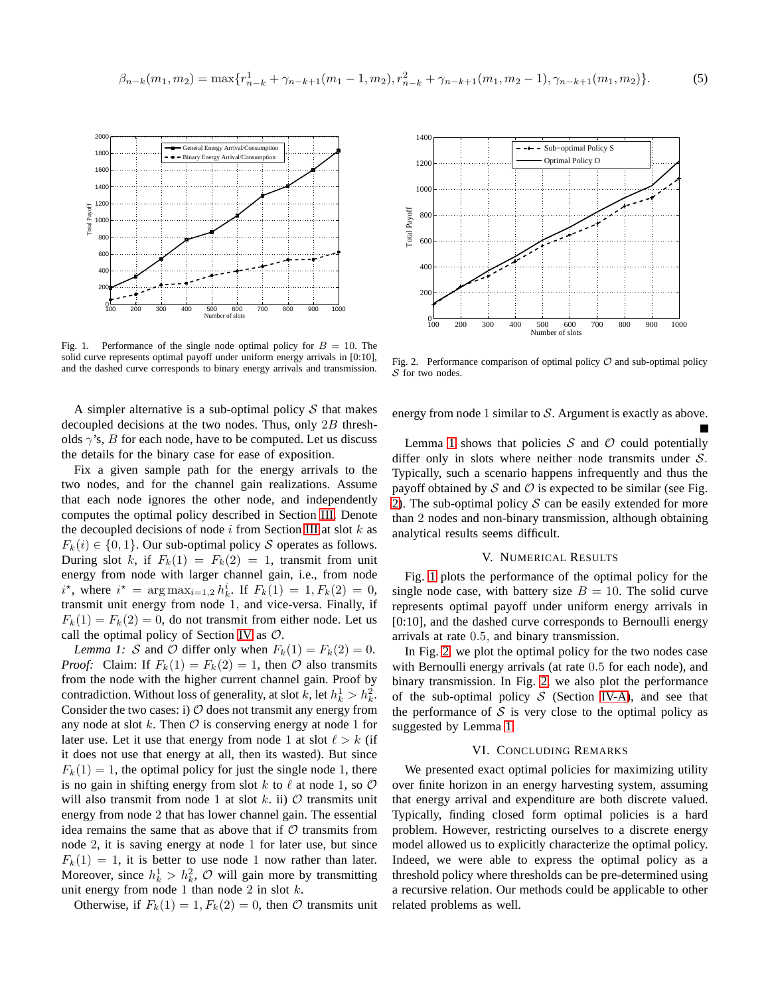<span id="page-3-0"></span>
$$
\beta_{n-k}(m_1, m_2) = \max\{r_{n-k}^1 + \gamma_{n-k+1}(m_1 - 1, m_2), r_{n-k}^2 + \gamma_{n-k+1}(m_1, m_2 - 1), \gamma_{n-k+1}(m_1, m_2)\}.
$$
 (5)



<span id="page-3-3"></span>Fig. 1. Performance of the single node optimal policy for  $B = 10$ . The solid curve represents optimal payoff under uniform energy arrivals in [0:10], and the dashed curve corresponds to binary energy arrivals and transmission.

A simpler alternative is a sub-optimal policy  $S$  that makes decoupled decisions at the two nodes. Thus, only 2B thresholds  $\gamma$ 's, B for each node, have to be computed. Let us discuss the details for the binary case for ease of exposition.

Fix a given sample path for the energy arrivals to the two nodes, and for the channel gain realizations. Assume that each node ignores the other node, and independently computes the optimal policy described in Section [III.](#page-1-1) Denote the decoupled decisions of node  $i$  from Section [III](#page-1-1) at slot  $k$  as  $F_k(i) \in \{0, 1\}$ . Our sub-optimal policy S operates as follows. During slot k, if  $F_k(1) = F_k(2) = 1$ , transmit from unit energy from node with larger channel gain, i.e., from node  $i^*$ , where  $i^* = \arg \max_{i=1,2} h_k^i$ . If  $F_k(1) = 1, F_k(2) = 0$ , transmit unit energy from node 1, and vice-versa. Finally, if  $F_k(1) = F_k(2) = 0$ , do not transmit from either node. Let us call the optimal policy of Section [IV](#page-2-3) as  $\mathcal{O}$ .

<span id="page-3-1"></span>*Lemma 1: S* and *O* differ only when  $F_k(1) = F_k(2) = 0$ . *Proof:* Claim: If  $F_k(1) = F_k(2) = 1$ , then  $\mathcal O$  also transmits from the node with the higher current channel gain. Proof by contradiction. Without loss of generality, at slot  $k$ , let  $h_k^1 > h_k^2$ . Consider the two cases: i)  $O$  does not transmit any energy from any node at slot k. Then  $\mathcal O$  is conserving energy at node 1 for later use. Let it use that energy from node 1 at slot  $\ell > k$  (if it does not use that energy at all, then its wasted). But since  $F_k(1) = 1$ , the optimal policy for just the single node 1, there is no gain in shifting energy from slot k to  $\ell$  at node 1, so  $\mathcal O$ will also transmit from node 1 at slot k. ii)  $\mathcal O$  transmits unit energy from node 2 that has lower channel gain. The essential idea remains the same that as above that if  $O$  transmits from node 2, it is saving energy at node 1 for later use, but since  $F_k(1) = 1$ , it is better to use node 1 now rather than later. Moreover, since  $h_k^1 > h_k^2$ ,  $\mathcal{O}$  will gain more by transmitting unit energy from node 1 than node 2 in slot  $k$ .

Otherwise, if  $F_k(1) = 1, F_k(2) = 0$ , then  $\mathcal O$  transmits unit



<span id="page-3-2"></span>Fig. 2. Performance comparison of optimal policy  $\mathcal O$  and sub-optimal policy S for two nodes.

energy from node 1 similar to  $S$ . Argument is exactly as above.

Lemma [1](#page-3-1) shows that policies  $S$  and  $O$  could potentially differ only in slots where neither node transmits under  $S$ . Typically, such a scenario happens infrequently and thus the payoff obtained by  $S$  and  $O$  is expected to be similar (see Fig. [2\)](#page-3-2). The sub-optimal policy  $S$  can be easily extended for more than 2 nodes and non-binary transmission, although obtaining analytical results seems difficult.

## V. NUMERICAL RESULTS

Fig. [1](#page-3-3) plots the performance of the optimal policy for the single node case, with battery size  $B = 10$ . The solid curve represents optimal payoff under uniform energy arrivals in [0:10], and the dashed curve corresponds to Bernoulli energy arrivals at rate 0.5, and binary transmission.

In Fig. [2,](#page-3-2) we plot the optimal policy for the two nodes case with Bernoulli energy arrivals (at rate 0.5 for each node), and binary transmission. In Fig. [2,](#page-3-2) we also plot the performance of the sub-optimal policy  $S$  (Section [IV-A\)](#page-2-4), and see that the performance of  $S$  is very close to the optimal policy as suggested by Lemma [1.](#page-3-1)

# VI. CONCLUDING REMARKS

We presented exact optimal policies for maximizing utility over finite horizon in an energy harvesting system, assuming that energy arrival and expenditure are both discrete valued. Typically, finding closed form optimal policies is a hard problem. However, restricting ourselves to a discrete energy model allowed us to explicitly characterize the optimal policy. Indeed, we were able to express the optimal policy as a threshold policy where thresholds can be pre-determined using a recursive relation. Our methods could be applicable to other related problems as well.